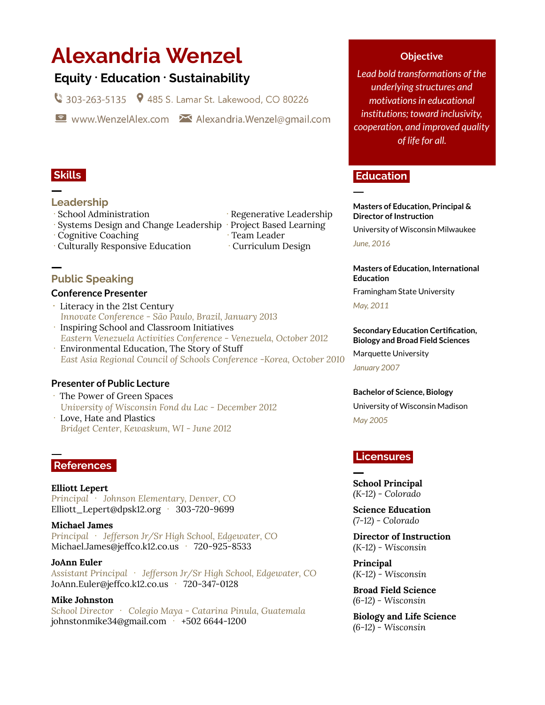# **Alexandria Wenzel**

# **Equity ᐧ Education ᐧ Sustainability**

303-263-5135 9 485 S. Lamar St. Lakewood, CO 80226

www.WenzelAlex.com Malexandria.Wenzel@gmail.com

### **Skills .**

## **Leadership**

- 
- ᐧ Systems Design and Change Leadership ᐧ Project Based Learning
- Cognitive Coaching **Team Leader**
- Culturally Responsive Education Curriculum Design
- **Public Speaking**

#### **Conference Presenter**

- **ᐧ** Literacy in the 21st Century *Innovate Conference - São Paulo, Brazil, January 2013*
- ᐧ Inspiring School and Classroom Initiatives *Eastern Venezuela Activities Conference - Venezuela, October 2012*
- ᐧ Environmental Education, The Story of Stuff *East Asia Regional Council of Schools Conference -Korea, October 2010*

## **Presenter of Public Lecture**

- ᐧ The Power of Green Spaces *University of Wisconsin Fond du Lac - December 2012* ᐧ Love, Hate and Plastics
- *Bridget Center, Kewaskum, WI - June 2012*

## **References .**

**Elliott Lepert** *Principal* ᐧ *Johnson Elementary, Denver, CO* Elliott\_Lepert@dpsk12.org · 303-720-9699

**Michael James** *Principal* ᐧ *Jefferson Jr/Sr High School, Edgewater, CO* Michael.James@jeffco.k12.co.us 720-925-8533

**JoAnn Euler** *Assistant Principal* ᐧ *Jefferson Jr/Sr High School, Edgewater, CO* JoAnn.Euler@jeffco.k12.co.us ᐧ 720-347-0128

**Mike Johnston** *School Director* ᐧ *Colegio Maya - Catarina Pinula, Guatemala* johnstonmike34@gmail.com ᐧ +502 6644-1200

### **Objective**

*Lead bold transformations of the underlying structures and motivationsin educational institutions; toward inclusivity, cooperation, and improved quality of life for all.*

#### **Education.**

**Masters of Education, Principal & Director of Instruction**

University of Wisconsin Milwaukee

*June, 2016*

**Masters of Education, International Education**

Framingham State University

*May, 2011*

#### **Secondary Education Certification, Biology and Broad Field Sciences**

Marquette University *January 2007*

#### **Bachelor of Science, Biology**

University of Wisconsin Madison *May 2005*

## **Licensures.**

#### **School Principal** *(K-12) - Colorado*

**Science Education** *(7-12) - Colorado*

**Director of Instruction** *(K-12) - Wisconsin*

**Principal** *(K-12) - Wisconsin*

**Broad Field Science** *(6-12) - Wisconsin*

**Biology and Life Science** *(6-12) - Wisconsin*

# School Administration Regenerative Leadership